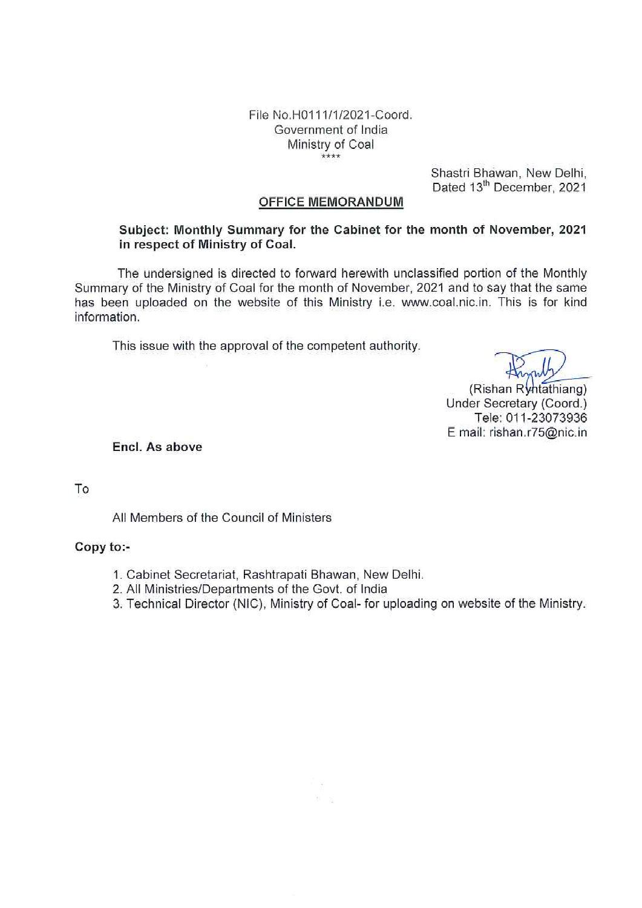File No.H0111/1/2021-Coord. Government of India Ministry of Coal  $****$ 

> Shastri Bhawan, New Delhi, Dated 13<sup>th</sup> December, 2021

#### **OFFICE MEMORANDUM**

#### Subject: Monthly Summary for the Cabinet for the month of November, 2021 in respect of Ministry of Coal.

The undersigned is directed to forward herewith unclassified portion of the Monthly Summary of the Ministry of Coal for the month of November, 2021 and to say that the same has been uploaded on the website of this Ministry i.e. www.coal.nic.in. This is for kind information.

This issue with the approval of the competent authority.

(Rishan Ryhtathiang) Under Secretary (Coord.) Tele: 011-23073936 E mail: rishan.r75@nic.in

Encl. As above

To

All Members of the Council of Ministers

#### Copy to:-

- 1. Cabinet Secretariat, Rashtrapati Bhawan, New Delhi.
- 2. All Ministries/Departments of the Govt. of India
- 3. Technical Director (NIC), Ministry of Coal- for uploading on website of the Ministry.

 $\mathbb{S}=\mathbb{S}$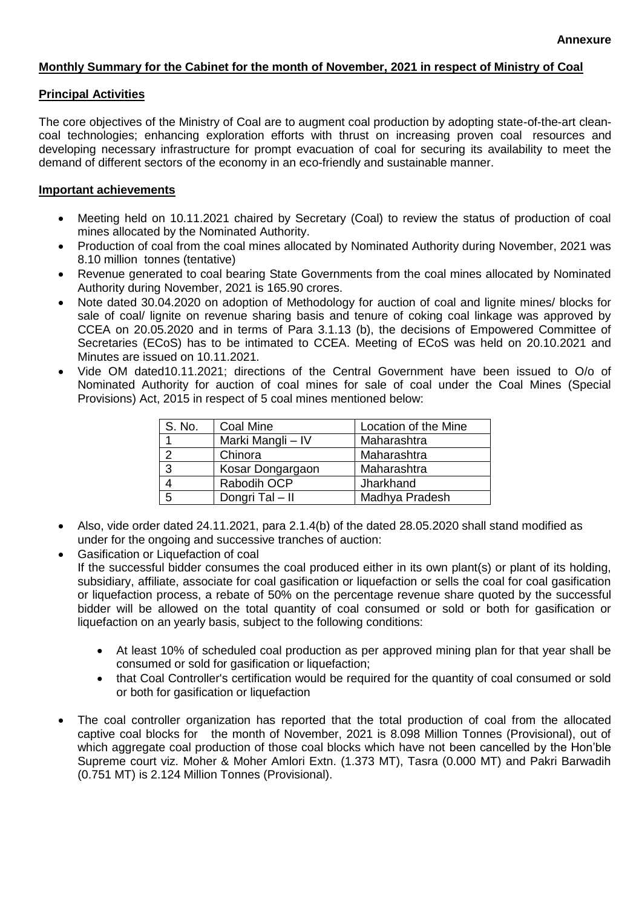#### **Monthly Summary for the Cabinet for the month of November, 2021 in respect of Ministry of Coal**

#### **Principal Activities**

The core objectives of the Ministry of Coal are to augment coal production by adopting state-of-the-art cleancoal technologies; enhancing exploration efforts with thrust on increasing proven coal resources and developing necessary infrastructure for prompt evacuation of coal for securing its availability to meet the demand of different sectors of the economy in an eco-friendly and sustainable manner.

#### **Important achievements**

- Meeting held on 10.11.2021 chaired by Secretary (Coal) to review the status of production of coal mines allocated by the Nominated Authority.
- Production of coal from the coal mines allocated by Nominated Authority during November, 2021 was 8.10 million tonnes (tentative)
- Revenue generated to coal bearing State Governments from the coal mines allocated by Nominated Authority during November, 2021 is 165.90 crores.
- Note dated 30.04.2020 on adoption of Methodology for auction of coal and lignite mines/ blocks for sale of coal/ lignite on revenue sharing basis and tenure of coking coal linkage was approved by CCEA on 20.05.2020 and in terms of Para 3.1.13 (b), the decisions of Empowered Committee of Secretaries (ECoS) has to be intimated to CCEA. Meeting of ECoS was held on 20.10.2021 and Minutes are issued on 10.11.2021.
- Vide OM dated10.11.2021; directions of the Central Government have been issued to O/o of Nominated Authority for auction of coal mines for sale of coal under the Coal Mines (Special Provisions) Act, 2015 in respect of 5 coal mines mentioned below:

| S. No. | Coal Mine         | Location of the Mine |
|--------|-------------------|----------------------|
|        | Marki Mangli - IV | Maharashtra          |
| റ      | Chinora           | Maharashtra          |
| 3      | Kosar Dongargaon  | Maharashtra          |
|        | Rabodih OCP       | Jharkhand            |
| 5      | Dongri Tal - II   | Madhya Pradesh       |

- Also, vide order dated 24.11.2021, para 2.1.4(b) of the dated 28.05.2020 shall stand modified as under for the ongoing and successive tranches of auction:
- Gasification or Liquefaction of coal If the successful bidder consumes the coal produced either in its own plant(s) or plant of its holding, subsidiary, affiliate, associate for coal gasification or liquefaction or sells the coal for coal gasification or liquefaction process, a rebate of 50% on the percentage revenue share quoted by the successful bidder will be allowed on the total quantity of coal consumed or sold or both for gasification or liquefaction on an yearly basis, subject to the following conditions:
	- At least 10% of scheduled coal production as per approved mining plan for that year shall be consumed or sold for gasification or liquefaction;
	- that Coal Controller's certification would be required for the quantity of coal consumed or sold or both for gasification or liquefaction
- The coal controller organization has reported that the total production of coal from the allocated captive coal blocks for the month of November, 2021 is 8.098 Million Tonnes (Provisional), out of which aggregate coal production of those coal blocks which have not been cancelled by the Hon'ble Supreme court viz. Moher & Moher Amlori Extn. (1.373 MT), Tasra (0.000 MT) and Pakri Barwadih (0.751 MT) is 2.124 Million Tonnes (Provisional).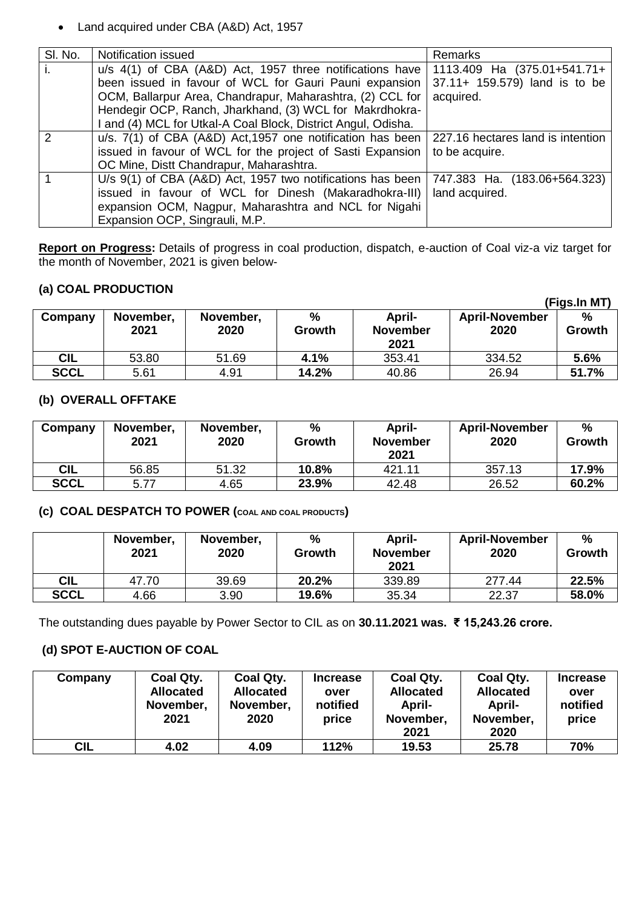Land acquired under CBA (A&D) Act, 1957

| SI. No.       | Notification issued                                           | Remarks                           |
|---------------|---------------------------------------------------------------|-----------------------------------|
| i.            | u/s 4(1) of CBA (A&D) Act, 1957 three notifications have      | 1113.409 Ha (375.01+541.71+       |
|               | been issued in favour of WCL for Gauri Pauni expansion        | 37.11+ 159.579) land is to be     |
|               | OCM, Ballarpur Area, Chandrapur, Maharashtra, (2) CCL for     | acquired.                         |
|               | Hendegir OCP, Ranch, Jharkhand, (3) WCL for Makrdhokra-       |                                   |
|               | I and (4) MCL for Utkal-A Coal Block, District Angul, Odisha. |                                   |
| $\mathcal{P}$ | u/s. 7(1) of CBA (A&D) Act, 1957 one notification has been    | 227.16 hectares land is intention |
|               | issued in favour of WCL for the project of Sasti Expansion    | to be acquire.                    |
|               | OC Mine, Distt Chandrapur, Maharashtra.                       |                                   |
|               | U/s 9(1) of CBA (A&D) Act, 1957 two notifications has been    | 747.383 Ha. (183.06+564.323)      |
|               | issued in favour of WCL for Dinesh (Makaradhokra-III)         | land acquired.                    |
|               | expansion OCM, Nagpur, Maharashtra and NCL for Nigahi         |                                   |
|               | Expansion OCP, Singrauli, M.P.                                |                                   |

**Report on Progress:** Details of progress in coal production, dispatch, e-auction of Coal viz-a viz target for the month of November, 2021 is given below-

## **(a) COAL PRODUCTION**

|             |                   |                   |                         |                           |                               | (Figs.In MT)            |
|-------------|-------------------|-------------------|-------------------------|---------------------------|-------------------------------|-------------------------|
| Company     | November,<br>2021 | November,<br>2020 | $\frac{6}{6}$<br>Growth | April-<br><b>November</b> | <b>April-November</b><br>2020 | $\frac{0}{0}$<br>Growth |
|             |                   |                   |                         | 2021                      |                               |                         |
| <b>CIL</b>  | 53.80             | 51.69             | 4.1%                    | 353.41                    | 334.52                        | 5.6%                    |
| <b>SCCL</b> | 5.61              | 4.91              | 14.2%                   | 40.86                     | 26.94                         | 51.7%                   |

#### **(b) OVERALL OFFTAKE**

| Company     | November,<br>2021 | November,<br>2020 | %<br><b>Growth</b> | April-<br><b>November</b><br>2021 | <b>April-November</b><br>2020 | %<br>Growth |
|-------------|-------------------|-------------------|--------------------|-----------------------------------|-------------------------------|-------------|
| <b>CIL</b>  | 56.85             | 51.32             | 10.8%              | 421.11                            | 357.13                        | 17.9%       |
| <b>SCCL</b> | 5.77              | 4.65              | 23.9%              | 42.48                             | 26.52                         | 60.2%       |

## **(c) COAL DESPATCH TO POWER (COAL AND COAL PRODUCTS)**

|             | November,<br>2021 | November,<br>2020 | %<br>Growth | April-<br><b>November</b><br>2021 | <b>April-November</b><br>2020 | $\frac{0}{0}$<br>Growth |
|-------------|-------------------|-------------------|-------------|-----------------------------------|-------------------------------|-------------------------|
| CIL         | 47.70             | 39.69             | 20.2%       | 339.89                            | 277.44                        | 22.5%                   |
| <b>SCCL</b> | 4.66              | 3.90              | 19.6%       | 35.34                             | 22.37                         | 58.0%                   |

The outstanding dues payable by Power Sector to CIL as on **30.11.2021 was. ₹ 15,243.26 crore.**

## **(d) SPOT E-AUCTION OF COAL**

| Company | Coal Qty.<br><b>Allocated</b><br>November,<br>2021 | Coal Qty.<br><b>Allocated</b><br>November,<br>2020 | <b>Increase</b><br>over<br>notified<br>price | Coal Qty.<br><b>Allocated</b><br><b>April-</b><br>November,<br>2021 | Coal Qty.<br><b>Allocated</b><br>April-<br>November,<br>2020 | <b>Increase</b><br>over<br>notified<br>price |
|---------|----------------------------------------------------|----------------------------------------------------|----------------------------------------------|---------------------------------------------------------------------|--------------------------------------------------------------|----------------------------------------------|
| CIL     | 4.02                                               | 4.09                                               | 112%                                         | 19.53                                                               | 25.78                                                        | 70%                                          |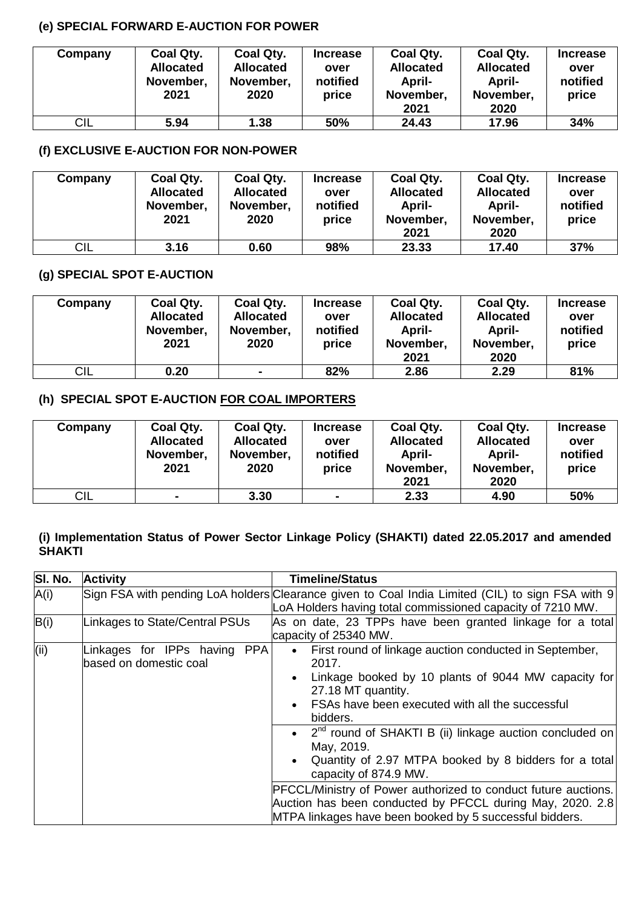## **(e) SPECIAL FORWARD E-AUCTION FOR POWER**

| Company | Coal Qty.<br><b>Allocated</b><br>November,<br>2021 | Coal Qty.<br><b>Allocated</b><br>November,<br>2020 | <b>Increase</b><br>over<br>notified<br>price | Coal Qty.<br><b>Allocated</b><br>April-<br>November,<br>2021 | Coal Qty.<br><b>Allocated</b><br>April-<br>November,<br>2020 | <b>Increase</b><br>over<br>notified<br>price |
|---------|----------------------------------------------------|----------------------------------------------------|----------------------------------------------|--------------------------------------------------------------|--------------------------------------------------------------|----------------------------------------------|
| CIL     | 5.94                                               | 1.38                                               | 50%                                          | 24.43                                                        | 17.96                                                        | 34%                                          |

# **(f) EXCLUSIVE E-AUCTION FOR NON-POWER**

| Company | Coal Qty.<br><b>Allocated</b><br>November,<br>2021 | Coal Qty.<br><b>Allocated</b><br>November,<br>2020 | <b>Increase</b><br>over<br>notified<br>price | Coal Qty.<br><b>Allocated</b><br>April-<br>November,<br>2021 | Coal Qty.<br><b>Allocated</b><br>April-<br>November,<br>2020 | <b>Increase</b><br>over<br>notified<br>price |
|---------|----------------------------------------------------|----------------------------------------------------|----------------------------------------------|--------------------------------------------------------------|--------------------------------------------------------------|----------------------------------------------|
| CIL     | 3.16                                               | 0.60                                               | 98%                                          | 23.33                                                        | 17.40                                                        | 37%                                          |

# **(g) SPECIAL SPOT E-AUCTION**

| Company | Coal Qty.<br><b>Allocated</b><br>November,<br>2021 | Coal Qty.<br><b>Allocated</b><br>November,<br>2020 | <b>Increase</b><br>over<br>notified<br>price | Coal Qty.<br><b>Allocated</b><br>April-<br>November,<br>2021 | Coal Qty.<br><b>Allocated</b><br>April-<br>November,<br>2020 | <b>Increase</b><br>over<br>notified<br>price |
|---------|----------------------------------------------------|----------------------------------------------------|----------------------------------------------|--------------------------------------------------------------|--------------------------------------------------------------|----------------------------------------------|
| CIL     | 0.20                                               | $\blacksquare$                                     | 82%                                          | 2.86                                                         | 2.29                                                         | 81%                                          |

## **(h) SPECIAL SPOT E-AUCTION FOR COAL IMPORTERS**

| Company | Coal Qty.<br><b>Allocated</b><br>November,<br>2021 | Coal Qty.<br><b>Allocated</b><br>November,<br>2020 | <b>Increase</b><br>over<br>notified<br>price | Coal Qty.<br><b>Allocated</b><br>April-<br>November,<br>2021 | Coal Qty.<br><b>Allocated</b><br>April-<br>November,<br>2020 | <b>Increase</b><br>over<br>notified<br>price |
|---------|----------------------------------------------------|----------------------------------------------------|----------------------------------------------|--------------------------------------------------------------|--------------------------------------------------------------|----------------------------------------------|
| CIL     | $\blacksquare$                                     | 3.30                                               | $\overline{\phantom{0}}$                     | 2.33                                                         | 4.90                                                         | 50%                                          |

## **(i) Implementation Status of Power Sector Linkage Policy (SHAKTI) dated 22.05.2017 and amended SHAKTI**

| SI. No. | <b>Activity</b>                                        | <b>Timeline/Status</b>                                                                                                                                                                                                                                                                                                                                                                                                                                                                                                                                                                                           |
|---------|--------------------------------------------------------|------------------------------------------------------------------------------------------------------------------------------------------------------------------------------------------------------------------------------------------------------------------------------------------------------------------------------------------------------------------------------------------------------------------------------------------------------------------------------------------------------------------------------------------------------------------------------------------------------------------|
| A(i)    |                                                        | Sign FSA with pending LoA holders Clearance given to Coal India Limited (CIL) to sign FSA with 9                                                                                                                                                                                                                                                                                                                                                                                                                                                                                                                 |
|         |                                                        | LoA Holders having total commissioned capacity of 7210 MW.                                                                                                                                                                                                                                                                                                                                                                                                                                                                                                                                                       |
| B(i)    | Linkages to State/Central PSUs                         | As on date, 23 TPPs have been granted linkage for a total<br>capacity of 25340 MW.                                                                                                                                                                                                                                                                                                                                                                                                                                                                                                                               |
| (i)     | Linkages for IPPs having PPA<br>based on domestic coal | • First round of linkage auction conducted in September,<br>2017.<br>Linkage booked by 10 plants of 9044 MW capacity for<br>$\bullet$<br>27.18 MT quantity.<br>FSAs have been executed with all the successful<br>$\bullet$<br>bidders.<br>• $2^{nd}$ round of SHAKTI B (ii) linkage auction concluded on<br>May, 2019.<br>Quantity of 2.97 MTPA booked by 8 bidders for a total<br>$\bullet$<br>capacity of 874.9 MW.<br>PFCCL/Ministry of Power authorized to conduct future auctions.<br>Auction has been conducted by PFCCL during May, 2020. 2.8<br>MTPA linkages have been booked by 5 successful bidders. |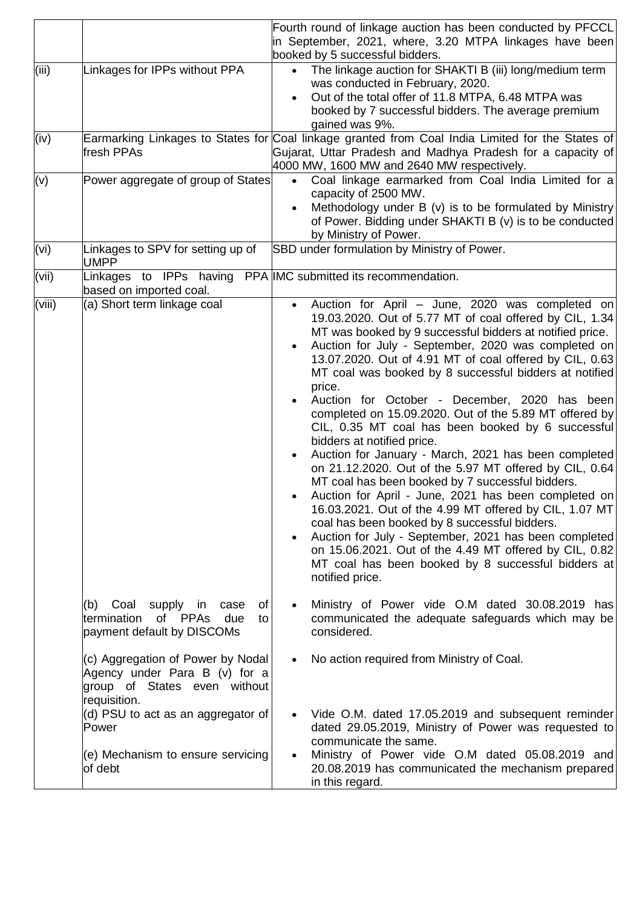|        |                                                                                                                    | Fourth round of linkage auction has been conducted by PFCCL<br>in September, 2021, where, 3.20 MTPA linkages have been<br>booked by 5 successful bidders.                                                                                                                                                                                                                                                                                                                                                                                                                                                                                                                                                                                                                                                                                                                                                                                                                                                                                                                                                                                           |
|--------|--------------------------------------------------------------------------------------------------------------------|-----------------------------------------------------------------------------------------------------------------------------------------------------------------------------------------------------------------------------------------------------------------------------------------------------------------------------------------------------------------------------------------------------------------------------------------------------------------------------------------------------------------------------------------------------------------------------------------------------------------------------------------------------------------------------------------------------------------------------------------------------------------------------------------------------------------------------------------------------------------------------------------------------------------------------------------------------------------------------------------------------------------------------------------------------------------------------------------------------------------------------------------------------|
| (iii)  | Linkages for IPPs without PPA                                                                                      | The linkage auction for SHAKTI B (iii) long/medium term<br>$\bullet$<br>was conducted in February, 2020.<br>Out of the total offer of 11.8 MTPA, 6.48 MTPA was<br>booked by 7 successful bidders. The average premium<br>gained was 9%.                                                                                                                                                                                                                                                                                                                                                                                                                                                                                                                                                                                                                                                                                                                                                                                                                                                                                                             |
| (iv)   | fresh PPAs                                                                                                         | Earmarking Linkages to States for Coal linkage granted from Coal India Limited for the States of<br>Gujarat, Uttar Pradesh and Madhya Pradesh for a capacity of<br>4000 MW, 1600 MW and 2640 MW respectively.                                                                                                                                                                                                                                                                                                                                                                                                                                                                                                                                                                                                                                                                                                                                                                                                                                                                                                                                       |
| (v)    | Power aggregate of group of States                                                                                 | Coal linkage earmarked from Coal India Limited for a<br>$\bullet$<br>capacity of 2500 MW.<br>Methodology under B (v) is to be formulated by Ministry<br>of Power. Bidding under SHAKTI B (v) is to be conducted<br>by Ministry of Power.                                                                                                                                                                                                                                                                                                                                                                                                                                                                                                                                                                                                                                                                                                                                                                                                                                                                                                            |
| (vi)   | Linkages to SPV for setting up of<br><b>UMPP</b>                                                                   | SBD under formulation by Ministry of Power.                                                                                                                                                                                                                                                                                                                                                                                                                                                                                                                                                                                                                                                                                                                                                                                                                                                                                                                                                                                                                                                                                                         |
| (vii)  | based on imported coal.                                                                                            | Linkages to IPPs having PPA IMC submitted its recommendation.                                                                                                                                                                                                                                                                                                                                                                                                                                                                                                                                                                                                                                                                                                                                                                                                                                                                                                                                                                                                                                                                                       |
| (viii) | (a) Short term linkage coal                                                                                        | Auction for April - June, 2020 was completed on<br>19.03.2020. Out of 5.77 MT of coal offered by CIL, 1.34<br>MT was booked by 9 successful bidders at notified price.<br>Auction for July - September, 2020 was completed on<br>$\bullet$<br>13.07.2020. Out of 4.91 MT of coal offered by CIL, 0.63<br>MT coal was booked by 8 successful bidders at notified<br>price.<br>Auction for October - December, 2020 has been<br>completed on 15.09.2020. Out of the 5.89 MT offered by<br>CIL, 0.35 MT coal has been booked by 6 successful<br>bidders at notified price.<br>Auction for January - March, 2021 has been completed<br>$\bullet$<br>on 21.12.2020. Out of the 5.97 MT offered by CIL, 0.64<br>MT coal has been booked by 7 successful bidders.<br>Auction for April - June, 2021 has been completed on<br>$\bullet$<br>16.03.2021. Out of the 4.99 MT offered by CIL, 1.07 MT<br>coal has been booked by 8 successful bidders.<br>Auction for July - September, 2021 has been completed<br>$\bullet$<br>on 15.06.2021. Out of the 4.49 MT offered by CIL, 0.82<br>MT coal has been booked by 8 successful bidders at<br>notified price. |
|        | (b) Coal<br>supply in<br>case<br>of<br>of PPAs<br>termination<br>due<br>to<br>payment default by DISCOMs           | Ministry of Power vide O.M dated 30.08.2019 has<br>$\bullet$<br>communicated the adequate safeguards which may be<br>considered.                                                                                                                                                                                                                                                                                                                                                                                                                                                                                                                                                                                                                                                                                                                                                                                                                                                                                                                                                                                                                    |
|        | (c) Aggregation of Power by Nodal<br>Agency under Para B (v) for a<br>group of States even without<br>requisition. | No action required from Ministry of Coal.<br>$\bullet$                                                                                                                                                                                                                                                                                                                                                                                                                                                                                                                                                                                                                                                                                                                                                                                                                                                                                                                                                                                                                                                                                              |
|        | (d) PSU to act as an aggregator of<br>Power                                                                        | Vide O.M. dated 17.05.2019 and subsequent reminder<br>dated 29.05.2019, Ministry of Power was requested to<br>communicate the same.                                                                                                                                                                                                                                                                                                                                                                                                                                                                                                                                                                                                                                                                                                                                                                                                                                                                                                                                                                                                                 |
|        | (e) Mechanism to ensure servicing<br>of debt                                                                       | Ministry of Power vide O.M dated 05.08.2019 and<br>$\bullet$<br>20.08.2019 has communicated the mechanism prepared<br>in this regard.                                                                                                                                                                                                                                                                                                                                                                                                                                                                                                                                                                                                                                                                                                                                                                                                                                                                                                                                                                                                               |